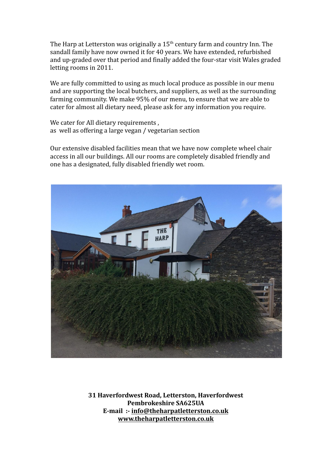The Harp at Letterston was originally a 15<sup>th</sup> century farm and country Inn. The sandall family have now owned it for 40 years. We have extended, refurbished and up-graded over that period and finally added the four-star visit Wales graded letting rooms in 2011.

We are fully committed to using as much local produce as possible in our menu and are supporting the local butchers, and suppliers, as well as the surrounding farming community. We make 95% of our menu, to ensure that we are able to cater for almost all dietary need, please ask for any information you require.

We cater for All dietary requirements, as well as offering a large vegan / vegetarian section

Our extensive disabled facilities mean that we have now complete wheel chair access in all our buildings. All our rooms are completely disabled friendly and one has a designated, fully disabled friendly wet room.



**31 Haverfordwest Road, Letterston, Haverfordwest Pembrokeshire SA625UA E-mail :- [info@theharpatletterston.co.uk](mailto:info@theharpatletterston.co.uk) [www.theharpatletterston.co.uk](http://www.theharpatletterston.co.uk)**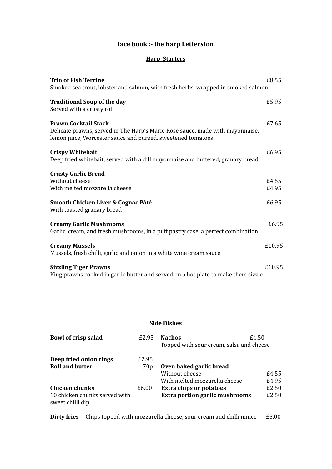## **face book :- the harp Letterston**

#### **Harp Starters**

| <b>Trio of Fish Terrine</b>                                                                                                                                                 | £8.55  |
|-----------------------------------------------------------------------------------------------------------------------------------------------------------------------------|--------|
| Smoked sea trout, lobster and salmon, with fresh herbs, wrapped in smoked salmon                                                                                            |        |
| <b>Traditional Soup of the day</b><br>Served with a crusty roll                                                                                                             | £5.95  |
|                                                                                                                                                                             |        |
| <b>Prawn Cocktail Stack</b><br>Delicate prawns, served in The Harp's Marie Rose sauce, made with mayonnaise,<br>lemon juice, Worcester sauce and pureed, sweetened tomatoes | £7.65  |
| <b>Crispy Whitebait</b><br>Deep fried whitebait, served with a dill mayonnaise and buttered, granary bread                                                                  | £6.95  |
| <b>Crusty Garlic Bread</b>                                                                                                                                                  |        |
| Without cheese                                                                                                                                                              | £4.55  |
| With melted mozzarella cheese                                                                                                                                               | £4.95  |
| Smooth Chicken Liver & Cognac Pâté<br>With toasted granary bread                                                                                                            | £6.95  |
| <b>Creamy Garlic Mushrooms</b><br>Garlic, cream, and fresh mushrooms, in a puff pastry case, a perfect combination                                                          | £6.95  |
| <b>Creamy Mussels</b><br>Mussels, fresh chilli, garlic and onion in a white wine cream sauce                                                                                | £10.95 |
| <b>Sizzling Tiger Prawns</b>                                                                                                                                                | £10.95 |
| King prawns cooked in garlic butter and served on a hot plate to make them sizzle                                                                                           |        |

### **Side Dishes**

| Bowl of crisp salad                               | £2.95           | <b>Nachos</b>                            | £4.50 |
|---------------------------------------------------|-----------------|------------------------------------------|-------|
|                                                   |                 | Topped with sour cream, salsa and cheese |       |
| Deep fried onion rings                            | £2.95           |                                          |       |
| <b>Roll and butter</b>                            | 70 <sub>p</sub> | Oven baked garlic bread                  |       |
|                                                   |                 | Without cheese                           | £4.55 |
|                                                   |                 | With melted mozzarella cheese            | £4.95 |
| <b>Chicken chunks</b>                             | £6.00           | <b>Extra chips or potatoes</b>           | £2.50 |
| 10 chicken chunks served with<br>sweet chilli dip |                 | <b>Extra portion garlic mushrooms</b>    | £2.50 |

**Dirty fries** Chips topped with mozzarella cheese, sour cream and chilli mince £5.00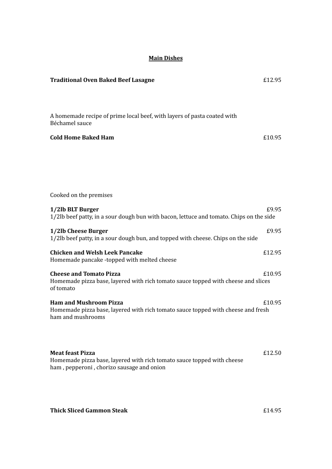# **Main Dishes Traditional Oven Baked Beef Lasagne** £12.95 A homemade recipe of prime local beef, with layers of pasta coated with Béchamel sauce **Cold Home Baked Ham** £10.95 Cooked on the premises **1/2lb BLT Burger** £9.95 1/2lb beef patty, in a sour dough bun with bacon, lettuce and tomato. Chips on the side **1/2lb** Cheese Burger **2006 2006 2006 2006 2006 2006 2006 2006 2006 2006 2006 2006 2006 2006 2006 2006 2006 2006 2006 2006 2006 2006 2006 2006 2006 2006 2006 2006 200** 1/2lb beef patty, in a sour dough bun, and topped with cheese. Chips on the side **Chicken and Welsh Leek Pancake** £12.95 Homemade pancake -topped with melted cheese **Cheese and Tomato Pizza** £10.95 Homemade pizza base, layered with rich tomato sauce topped with cheese and slices of tomato **Ham and Mushroom Pizza** £10.95 Homemade pizza base, layered with rich tomato sauce topped with cheese and fresh ham and mushrooms **Meat feast Pizza** £12.50 Homemade pizza base, layered with rich tomato sauce topped with cheese ham , pepperoni , chorizo sausage and onion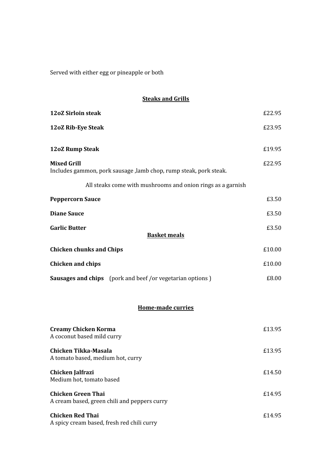Served with either egg or pineapple or both

### **Steaks and Grills**

| <b>12oZ Sirloin steak</b>                                                                | £22.95 |  |  |
|------------------------------------------------------------------------------------------|--------|--|--|
| 12oZ Rib-Eye Steak                                                                       | £23.95 |  |  |
| 12oZ Rump Steak                                                                          | £19.95 |  |  |
| <b>Mixed Grill</b><br>Includes gammon, pork sausage , lamb chop, rump steak, pork steak. | £22.95 |  |  |
| All steaks come with mushrooms and onion rings as a garnish                              |        |  |  |
| <b>Peppercorn Sauce</b>                                                                  | £3.50  |  |  |
| <b>Diane Sauce</b>                                                                       | £3.50  |  |  |
| <b>Garlic Butter</b><br><b>Basket meals</b>                                              | £3.50  |  |  |
| <b>Chicken chunks and Chips</b>                                                          | £10.00 |  |  |
| <b>Chicken and chips</b>                                                                 | £10.00 |  |  |
| <b>Sausages and chips</b> (pork and beef /or vegetarian options)                         | £8.00  |  |  |
| Home-made curries                                                                        |        |  |  |

| <b>Creamy Chicken Korma</b><br>A coconut based mild curry                 | £13.95 |
|---------------------------------------------------------------------------|--------|
| Chicken Tikka-Masala<br>A tomato based, medium hot, curry                 | £13.95 |
| Chicken Jalfrazi<br>Medium hot, tomato based                              | £14.50 |
| <b>Chicken Green Thai</b><br>A cream based, green chili and peppers curry | £14.95 |
| <b>Chicken Red Thai</b><br>A spicy cream based, fresh red chili curry     | £14.95 |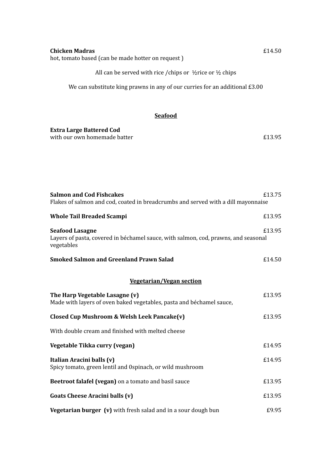| All can be served with rice / chips or $\frac{1}{2}$ rice or $\frac{1}{2}$ chips                                           |        |
|----------------------------------------------------------------------------------------------------------------------------|--------|
| We can substitute king prawns in any of our curries for an additional £3.00                                                |        |
|                                                                                                                            |        |
| <b>Seafood</b>                                                                                                             |        |
| <b>Extra Large Battered Cod</b>                                                                                            |        |
| with our own homemade batter                                                                                               | £13.95 |
|                                                                                                                            |        |
|                                                                                                                            |        |
|                                                                                                                            |        |
| <b>Salmon and Cod Fishcakes</b><br>Flakes of salmon and cod, coated in breadcrumbs and served with a dill mayonnaise       | £13.75 |
| <b>Whole Tail Breaded Scampi</b>                                                                                           | £13.95 |
| <b>Seafood Lasagne</b><br>Layers of pasta, covered in béchamel sauce, with salmon, cod, prawns, and seasonal<br>vegetables | £13.95 |
| <b>Smoked Salmon and Greenland Prawn Salad</b>                                                                             | £14.50 |
| <b>Vegetarian/Vegan section</b>                                                                                            |        |
| The Harp Vegetable Lasagne (v)<br>Made with layers of oven baked vegetables, pasta and béchamel sauce,                     | £13.95 |
| Closed Cup Mushroom & Welsh Leek Pancake(v)                                                                                | £13.95 |
| With double cream and finished with melted cheese                                                                          |        |
| Vegetable Tikka curry (vegan)                                                                                              | £14.95 |
| Italian Aracini balls (v)<br>Spicy tomato, green lentil and 0spinach, or wild mushroom                                     | £14.95 |
| Beetroot falafel (vegan) on a tomato and basil sauce                                                                       | £13.95 |
| Goats Cheese Aracini balls (v)                                                                                             | £13.95 |
| Vegetarian burger (v) with fresh salad and in a sour dough bun                                                             | £9.95  |

**Chicken Madras** £14.50

hot, tomato based (can be made hotter on request )